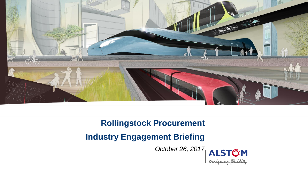

# **Rollingstock Procurement**

# **Industry Engagement Briefing**

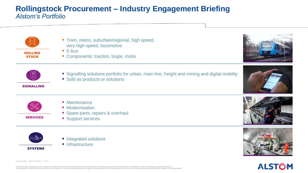## **Rollingstock Procurement – Industry Engagement Briefing** *Alstom's Portfolio*



ROLLING **STOCK** 

- Tram, metro, suburban/regional, high speed, very high speed, locomotive
- E-bus
- Components: traction, bogie, motor



■ Sold as products or solutions

#### SIGNALLING

- **Maintenance** 
	- **Modernisation**
	- Spare parts, repairs & overhaul
	- **Support services**



SERVICES

- Integrated solutions
- **Infrastructure**









# **ALSTOM**

ALSTOM - 03/11/2017 – P 2

© ALSTOM 2015. All rights reserved. Information contained in this document is indicative only. No representation or warranty is given or should be relied on that it is complete or correct or will public varian under proper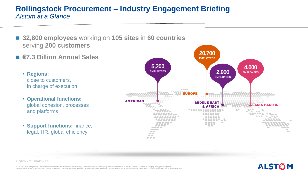### **Rollingstock Procurement – Industry Engagement Briefing** *Alstom at a Glance*

- 32,800 employees working on 105 sites in 60 countries serving **200 customers**
- **€7.3 Billion Annual Sales**

• **Regions:**  close to customers, in charge of execution

- **Operational functions:**  global cohesion, processes and platforms
- **Support functions:** finance, legal, HR, global efficiency

ALSTOM - 03/11/2017 – P 3



© ALSTOM 2015. All rights reserved. Information contained in this document is indicative only. No representation or warranty is given or should be relied on that it is complete or correct or will public varian under proper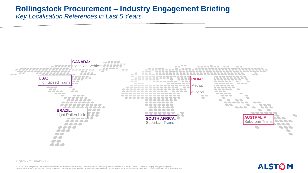# **Rollingstock Procurement – Industry Engagement Briefing**

*Key Localisation References in Last 5 Years*



**ALSTOM** 

ALSTOM - 03/11/2017 – P 4

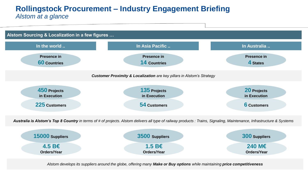#### **Rollingstock Procurement – Industry Engagement Briefing** *Alstom at a glance*



*Australia is Alstom's Top 8 Country in terms of # of projects. Alstom delivers all type of railway products : Trains, Signaling, Maintenance, Infrastructure & Systems*



 $\mathcal{L} = \mathcal{L} \mathcal{L} = \mathcal{L} \mathcal{L}$  . The contract of the contract of the contract of the contract of the contract of the contract of the contract of the contract of the contract of the contract of the contract of the cont *Alstom develops its suppliers around the globe, offering many Make or Buy options while maintaining price competitiveness*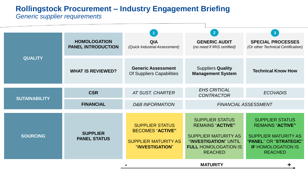# **Rollingstock Procurement – Industry Engagement Briefing**

This will depend on the technical and commercial circumstances. It is provided without liability and is subject to change without notice. Reproduction, use or disclosure to third parties, without express written authority, is strictly prohibited.

#### *Generic supplier requirements*

| <b>QUALITY</b>       | <b>HOMOLOGATION</b><br><b>PANEL INTRODUCTION</b> | <b>QIA</b><br>(Quick Industrial Assessment)                                                         | $\overline{2}$<br><b>GENERIC AUDIT</b><br>(no need if IRIS certified)                                                                                      | 3<br><b>SPECIAL PROCESSES</b><br>(Or other Technical Certification)                                                                                       |
|----------------------|--------------------------------------------------|-----------------------------------------------------------------------------------------------------|------------------------------------------------------------------------------------------------------------------------------------------------------------|-----------------------------------------------------------------------------------------------------------------------------------------------------------|
|                      | <b>WHAT IS REVIEWED?</b>                         | <b>Generic Assessment</b><br>Of Suppliers Capabilities                                              | <b>Suppliers Quality</b><br><b>Management System</b>                                                                                                       | <b>Technical Know How</b>                                                                                                                                 |
| <b>SUTAINABILITY</b> | <b>CSR</b>                                       | <b>AT SUST. CHARTER</b>                                                                             | <b>EHS CRITICAL</b><br><b>CONTRACTOR</b>                                                                                                                   | <b>ECOVADIS</b>                                                                                                                                           |
|                      | <b>FINANCIAL</b>                                 | <b>D&amp;B INFORMATION</b>                                                                          | <b>FINANCIAL ASSESSMENT</b>                                                                                                                                |                                                                                                                                                           |
| <b>SOURCING</b>      | <b>SUPPLIER</b><br><b>PANEL STATUS</b>           | <b>SUPPLIER STATUS</b><br><b>BECOMES "ACTIVE"</b><br><b>SUPPLIER MATURITY AS</b><br>"INVESTIGATION" | <b>SUPPLIER STATUS</b><br><b>REMAINS "ACTIVE"</b><br><b>SUPPLIER MATURITY AS</b><br>"INVESTIGATION" UNTIL<br><b>FULL HOMOLOGATION IS</b><br><b>REACHED</b> | <b>SUPPLIER STATUS</b><br><b>REMAINS "ACTIVE"</b><br><b>SUPPLIER MATURITY AS</b><br>"PANEL" OR "STRATEGIC"<br><b>IF HOMOLOGATION IS</b><br><b>REACHED</b> |
| <b>MATURITY</b>      |                                                  |                                                                                                     |                                                                                                                                                            |                                                                                                                                                           |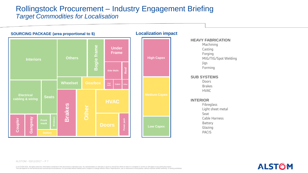#### Rollingstock Procurement – Industry Engagement Briefing *Target Commodities for Localisation*



**ALSTOM** 

ALSTOM - 03/11/2017 – P 7

© ALSTOM 2015. All rights reserved. Information contained in this document is indicative only. No representation or warranty is given or should be relied on that it is complete or correct or will public varian under proper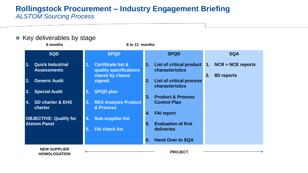**Rollingstock Procurement – Industry Engagement Briefing** *ALSTOM Sourcing Process*

| $\blacksquare$ Key deliverables by stage<br>6 months<br>8 to 12 months |                                                                                               |                                                               |                                                                |  |  |
|------------------------------------------------------------------------|-----------------------------------------------------------------------------------------------|---------------------------------------------------------------|----------------------------------------------------------------|--|--|
| <b>SQD</b>                                                             | <b>SPQD</b>                                                                                   | <b>SPQD</b>                                                   | <b>SQA</b>                                                     |  |  |
| <b>Quick Industrial</b><br>$\mathbf{1}$ .<br><b>Assessments</b>        | <b>Certificate list &amp;</b><br>1 <sub>1</sub><br>quality specifications<br>clause by clause | List of critical product<br>$\mathbf{1}$ .<br>characteristics | <b>NCR + NCE reports</b><br>$\mathbf{1}$ .<br>8D reports<br>2. |  |  |
| <b>Generic Audit</b><br>$\overline{2}$ .                               | signed.                                                                                       | <b>List of critical process</b><br>2.<br>characteristics      |                                                                |  |  |
| <b>Special Audit</b><br>3.                                             | <b>SPQD plan</b><br>2.                                                                        | <b>Product &amp; Process</b><br>3.                            |                                                                |  |  |
| <b>SD charter &amp; EHS</b><br>4.<br>charter                           | <b>REX Analysis Product</b><br>3.<br>& Process                                                | <b>Control Plan</b>                                           |                                                                |  |  |
| <b>OBJECTIVE: Qualify for</b>                                          | <b>Sub-supplier list</b><br>4.                                                                | <b>FAI report</b><br>4.                                       |                                                                |  |  |
| <b>Alstom Panel</b>                                                    | <b>FAI check list</b><br>5 <sub>1</sub>                                                       | 5.<br><b>Evaluation of first</b><br>deliveries                |                                                                |  |  |
|                                                                        |                                                                                               | <b>Hand Over to SQA</b><br>6.                                 |                                                                |  |  |
| <b>NEW SUPPLIER</b><br><b>HOMOLOGATION</b>                             |                                                                                               | <b>PROJECT</b>                                                |                                                                |  |  |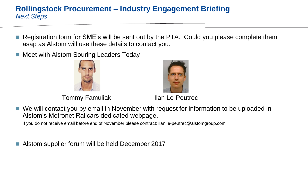## **Rollingstock Procurement – Industry Engagement Briefing** *Next Steps*

- Registration form for SME's will be sent out by the PTA. Could you please complete them asap as Alstom will use these details to contact you.
- Meet with Alstom Souring Leaders Today



Tommy Famuliak Ilan Le-Peutrec

■ We will contact you by email in November with request for information to be uploaded in Alstom's Metronet Railcars dedicated webpage.

If you do not receive email before end of November please contract: ilan.le-peutrec@alstomgroup.com

■ Alstom supplier forum will be held December 2017